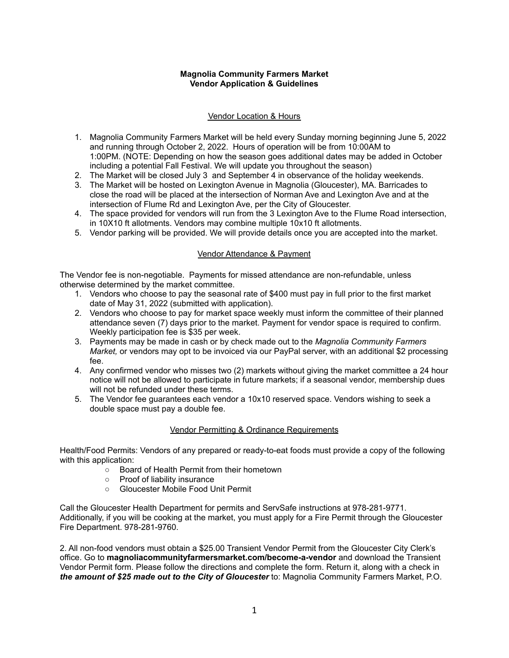### **Magnolia Community Farmers Market Vendor Application & Guidelines**

## Vendor Location & Hours

- 1. Magnolia Community Farmers Market will be held every Sunday morning beginning June 5, 2022 and running through October 2, 2022. Hours of operation will be from 10:00AM to 1:00PM. (NOTE: Depending on how the season goes additional dates may be added in October including a potential Fall Festival. We will update you throughout the season)
- 2. The Market will be closed July 3 and September 4 in observance of the holiday weekends.
- 3. The Market will be hosted on Lexington Avenue in Magnolia (Gloucester), MA. Barricades to close the road will be placed at the intersection of Norman Ave and Lexington Ave and at the intersection of Flume Rd and Lexington Ave, per the City of Gloucester.
- 4. The space provided for vendors will run from the 3 Lexington Ave to the Flume Road intersection, in 10X10 ft allotments. Vendors may combine multiple 10x10 ft allotments.
- 5. Vendor parking will be provided. We will provide details once you are accepted into the market.

# Vendor Attendance & Payment

The Vendor fee is non-negotiable. Payments for missed attendance are non-refundable, unless otherwise determined by the market committee.

- 1. Vendors who choose to pay the seasonal rate of \$400 must pay in full prior to the first market date of May 31, 2022 (submitted with application).
- 2. Vendors who choose to pay for market space weekly must inform the committee of their planned attendance seven (7) days prior to the market. Payment for vendor space is required to confirm. Weekly participation fee is \$35 per week.
- 3. Payments may be made in cash or by check made out to the *Magnolia Community Farmers Market,* or vendors may opt to be invoiced via our PayPal server, with an additional \$2 processing fee.
- 4. Any confirmed vendor who misses two (2) markets without giving the market committee a 24 hour notice will not be allowed to participate in future markets; if a seasonal vendor, membership dues will not be refunded under these terms.
- 5. The Vendor fee guarantees each vendor a 10x10 reserved space. Vendors wishing to seek a double space must pay a double fee.

## Vendor Permitting & Ordinance Requirements

Health/Food Permits: Vendors of any prepared or ready-to-eat foods must provide a copy of the following with this application:

- Board of Health Permit from their hometown
- Proof of liability insurance
- Gloucester Mobile Food Unit Permit

Call the Gloucester Health Department for permits and ServSafe instructions at 978-281-9771. Additionally, if you will be cooking at the market, you must apply for a Fire Permit through the Gloucester Fire Department. 978-281-9760.

2. All non-food vendors must obtain a \$25.00 Transient Vendor Permit from the Gloucester City Clerk's office. Go to **magnoliacommunityfarmersmarket.com/become-a-vendor** and download the Transient Vendor Permit form. Please follow the directions and complete the form. Return it, along with a check in *the amount of \$25 made out to the City of Gloucester* to: Magnolia Community Farmers Market, P.O.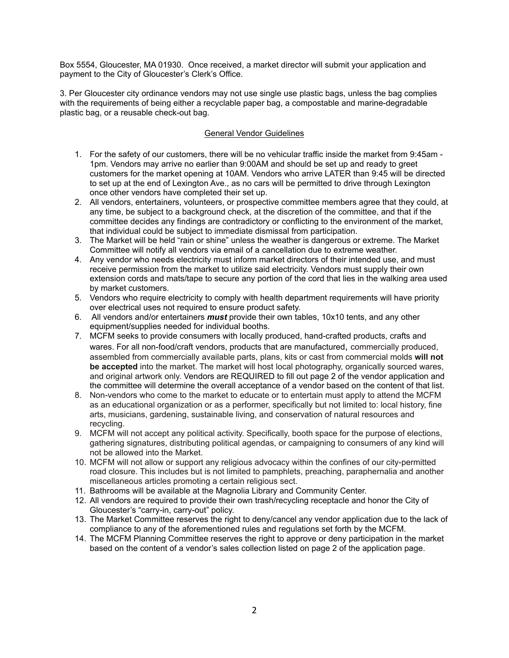Box 5554, Gloucester, MA 01930. Once received, a market director will submit your application and payment to the City of Gloucester's Clerk's Office.

3. Per Gloucester city ordinance vendors may not use single use plastic bags, unless the bag complies with the requirements of being either a recyclable paper bag, a compostable and marine-degradable plastic bag, or a reusable check-out bag.

### General Vendor Guidelines

- 1. For the safety of our customers, there will be no vehicular traffic inside the market from 9:45am 1pm. Vendors may arrive no earlier than 9:00AM and should be set up and ready to greet customers for the market opening at 10AM. Vendors who arrive LATER than 9:45 will be directed to set up at the end of Lexington Ave., as no cars will be permitted to drive through Lexington once other vendors have completed their set up.
- 2. All vendors, entertainers, volunteers, or prospective committee members agree that they could, at any time, be subject to a background check, at the discretion of the committee, and that if the committee decides any findings are contradictory or conflicting to the environment of the market, that individual could be subject to immediate dismissal from participation.
- 3. The Market will be held "rain or shine" unless the weather is dangerous or extreme. The Market Committee will notify all vendors via email of a cancellation due to extreme weather.
- 4. Any vendor who needs electricity must inform market directors of their intended use, and must receive permission from the market to utilize said electricity. Vendors must supply their own extension cords and mats/tape to secure any portion of the cord that lies in the walking area used by market customers.
- 5. Vendors who require electricity to comply with health department requirements will have priority over electrical uses not required to ensure product safety.
- 6. All vendors and/or entertainers *must* provide their own tables, 10x10 tents, and any other equipment/supplies needed for individual booths.
- 7. MCFM seeks to provide consumers with locally produced, hand-crafted products, crafts and wares. For all non-food/craft vendors, products that are manufactured, commercially produced, assembled from commercially available parts, plans, kits or cast from commercial molds **will not be accepted** into the market. The market will host local photography, organically sourced wares, and original artwork only. Vendors are REQUIRED to fill out page 2 of the vendor application and the committee will determine the overall acceptance of a vendor based on the content of that list.
- 8. Non-vendors who come to the market to educate or to entertain must apply to attend the MCFM as an educational organization or as a performer, specifically but not limited to: local history, fine arts, musicians, gardening, sustainable living, and conservation of natural resources and recycling.
- 9. MCFM will not accept any political activity. Specifically, booth space for the purpose of elections, gathering signatures, distributing political agendas, or campaigning to consumers of any kind will not be allowed into the Market.
- 10. MCFM will not allow or support any religious advocacy within the confines of our city-permitted road closure. This includes but is not limited to pamphlets, preaching, paraphernalia and another miscellaneous articles promoting a certain religious sect.
- 11. Bathrooms will be available at the Magnolia Library and Community Center.
- 12. All vendors are required to provide their own trash/recycling receptacle and honor the City of Gloucester's "carry-in, carry-out" policy.
- 13. The Market Committee reserves the right to deny/cancel any vendor application due to the lack of compliance to any of the aforementioned rules and regulations set forth by the MCFM.
- 14. The MCFM Planning Committee reserves the right to approve or deny participation in the market based on the content of a vendor's sales collection listed on page 2 of the application page.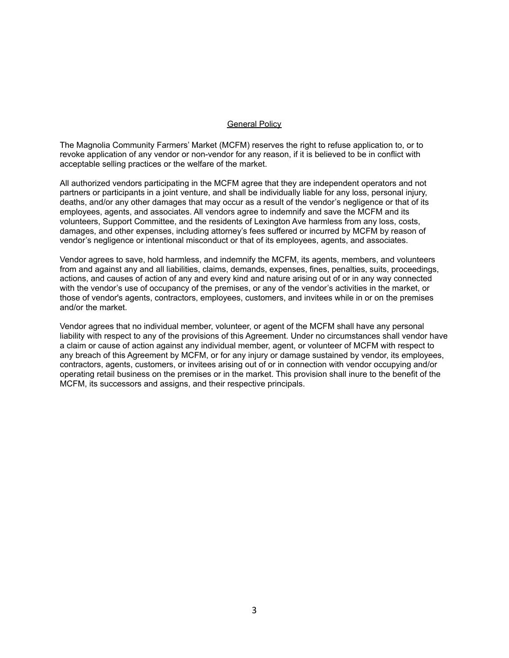#### **General Policy**

The Magnolia Community Farmers' Market (MCFM) reserves the right to refuse application to, or to revoke application of any vendor or non-vendor for any reason, if it is believed to be in conflict with acceptable selling practices or the welfare of the market.

All authorized vendors participating in the MCFM agree that they are independent operators and not partners or participants in a joint venture, and shall be individually liable for any loss, personal injury, deaths, and/or any other damages that may occur as a result of the vendor's negligence or that of its employees, agents, and associates. All vendors agree to indemnify and save the MCFM and its volunteers, Support Committee, and the residents of Lexington Ave harmless from any loss, costs, damages, and other expenses, including attorney's fees suffered or incurred by MCFM by reason of vendor's negligence or intentional misconduct or that of its employees, agents, and associates.

Vendor agrees to save, hold harmless, and indemnify the MCFM, its agents, members, and volunteers from and against any and all liabilities, claims, demands, expenses, fines, penalties, suits, proceedings, actions, and causes of action of any and every kind and nature arising out of or in any way connected with the vendor's use of occupancy of the premises, or any of the vendor's activities in the market, or those of vendor's agents, contractors, employees, customers, and invitees while in or on the premises and/or the market.

Vendor agrees that no individual member, volunteer, or agent of the MCFM shall have any personal liability with respect to any of the provisions of this Agreement. Under no circumstances shall vendor have a claim or cause of action against any individual member, agent, or volunteer of MCFM with respect to any breach of this Agreement by MCFM, or for any injury or damage sustained by vendor, its employees, contractors, agents, customers, or invitees arising out of or in connection with vendor occupying and/or operating retail business on the premises or in the market. This provision shall inure to the benefit of the MCFM, its successors and assigns, and their respective principals.